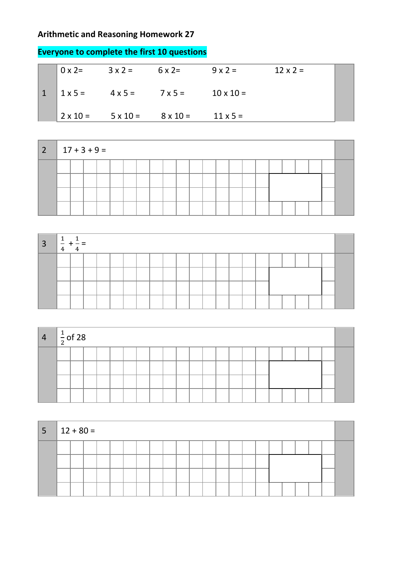## **Arithmetic and Reasoning Homework 27**

| $0 \times 2=$ | $3 \times 2 =$                              | $6 \times 2=$ | $9 \times 2 =$   | $12 \times 2 =$ |  |
|---------------|---------------------------------------------|---------------|------------------|-----------------|--|
|               | $1 \times 5 = 4 \times 5 = 7 \times 5 =$    |               | $10 \times 10 =$ |                 |  |
|               | $2 \times 10 = 5 \times 10 = 8 \times 10 =$ |               | $11 \times 5 =$  |                 |  |

## **Everyone to complete the first 10 questions**

| $2   17 + 3 + 9 =$ |  |  |  |  |  |  |  |  |  |  |  |
|--------------------|--|--|--|--|--|--|--|--|--|--|--|
|                    |  |  |  |  |  |  |  |  |  |  |  |
|                    |  |  |  |  |  |  |  |  |  |  |  |
|                    |  |  |  |  |  |  |  |  |  |  |  |
|                    |  |  |  |  |  |  |  |  |  |  |  |

| $\overline{3}$ |  |  |  |  |  |  |  |  |  |  |  |
|----------------|--|--|--|--|--|--|--|--|--|--|--|
|                |  |  |  |  |  |  |  |  |  |  |  |
|                |  |  |  |  |  |  |  |  |  |  |  |
|                |  |  |  |  |  |  |  |  |  |  |  |
|                |  |  |  |  |  |  |  |  |  |  |  |

| $\overline{4}$ | $\frac{1}{2}$ of 28 |  |  |  |  |  |  |  |  |  |  |
|----------------|---------------------|--|--|--|--|--|--|--|--|--|--|
|                |                     |  |  |  |  |  |  |  |  |  |  |
|                |                     |  |  |  |  |  |  |  |  |  |  |
|                |                     |  |  |  |  |  |  |  |  |  |  |
|                |                     |  |  |  |  |  |  |  |  |  |  |

| $5 \mid 12 + 80 =$ |  |  |  |  |  |  |  |  |  |  |  |
|--------------------|--|--|--|--|--|--|--|--|--|--|--|
|                    |  |  |  |  |  |  |  |  |  |  |  |
|                    |  |  |  |  |  |  |  |  |  |  |  |
|                    |  |  |  |  |  |  |  |  |  |  |  |
|                    |  |  |  |  |  |  |  |  |  |  |  |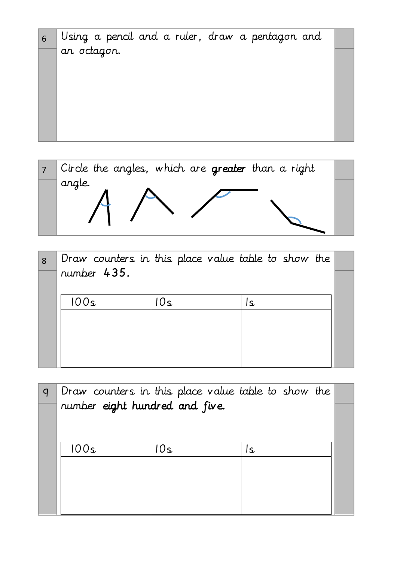



| 8 |             |     | Draw counters in this place value table to show the |  |
|---|-------------|-----|-----------------------------------------------------|--|
|   | number 435. |     |                                                     |  |
|   | 100s        | 10s | ١s                                                  |  |
|   |             |     |                                                     |  |
|   |             |     |                                                     |  |
|   |             |     |                                                     |  |

| Draw counters in this place value table to show the |      |    |  |
|-----------------------------------------------------|------|----|--|
| number eight hundred and five.                      |      |    |  |
|                                                     |      |    |  |
| 00ء)                                                | 0٤ ا | S. |  |
|                                                     |      |    |  |
|                                                     |      |    |  |
|                                                     |      |    |  |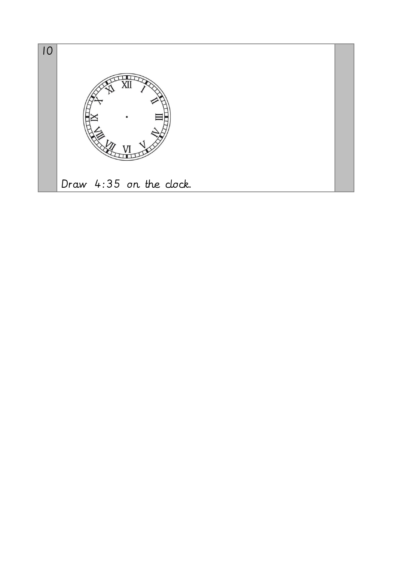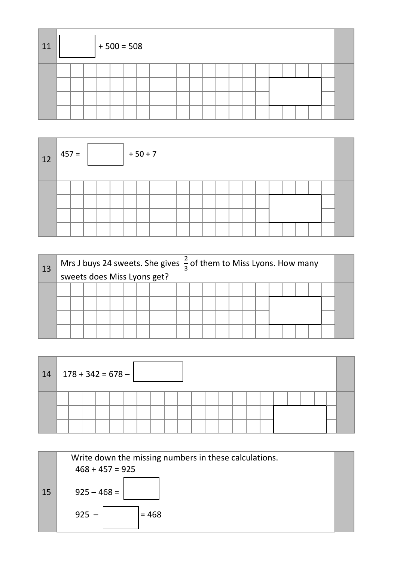| 11 |  | $+500 = 508$ |  |  |  |  |  |  |  |  |  |
|----|--|--------------|--|--|--|--|--|--|--|--|--|
|    |  |              |  |  |  |  |  |  |  |  |  |
|    |  |              |  |  |  |  |  |  |  |  |  |
|    |  |              |  |  |  |  |  |  |  |  |  |
|    |  |              |  |  |  |  |  |  |  |  |  |

| 12 <sub>2</sub> | $ 457 =$ |  |  | $+50+7$ |  |  |  |  |  |  |  |  |
|-----------------|----------|--|--|---------|--|--|--|--|--|--|--|--|
|                 |          |  |  |         |  |  |  |  |  |  |  |  |

| 13 |  |  |  | Mrs J buys 24 sweets. She gives $\frac{2}{3}$ of them to Miss Lyons. How many<br>sweets does Miss Lyons get? |  |  |  |  |  |  |  |
|----|--|--|--|--------------------------------------------------------------------------------------------------------------|--|--|--|--|--|--|--|
|    |  |  |  |                                                                                                              |  |  |  |  |  |  |  |
|    |  |  |  |                                                                                                              |  |  |  |  |  |  |  |

| 14 |  | $178 + 342 = 678 -$ |  |  |  |  |  |  |  |  |  |
|----|--|---------------------|--|--|--|--|--|--|--|--|--|
|    |  |                     |  |  |  |  |  |  |  |  |  |

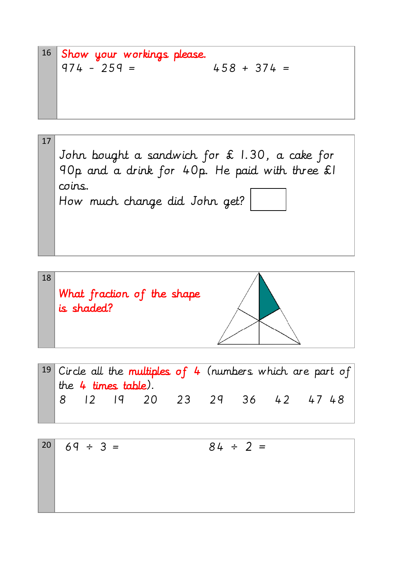$$
16 \t\t\t\tShow your workings please.\n974 - 259 = 458 + 374 =
$$



$$
18
$$
\nWhat fraction of the shape is shaded?

\n



$$
\begin{array}{|ccccccccccccccccccc|}\n20 & 69 \div 3 = & & & 84 \div 2 = & & & \\
\hline\n & 69 \div 3 = & & & & \\
\hline\n\end{array}
$$